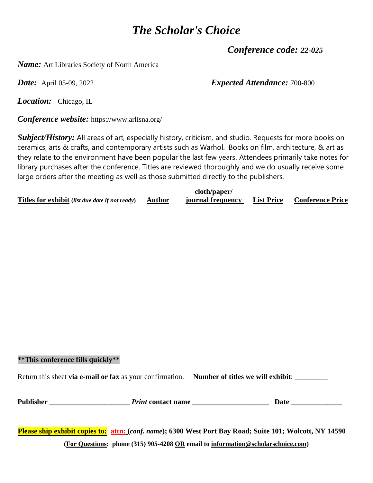*Conference code: 22-025* 

*Name:* Art Libraries Society of North America

*Date:* April 05-09, 2022 *Expected Attendance:* 700-800

*Location:* Chicago, IL

*Conference website:* https://www.arlisna.org/

*Subject/History:* All areas of art, especially history, criticism, and studio. Requests for more books on ceramics, arts & crafts, and contemporary artists such as Warhol. Books on film, architecture, & art as they relate to the environment have been popular the last few years. Attendees primarily take notes for library purchases after the conference. Titles are reviewed thoroughly and we do usually receive some large orders after the meeting as well as those submitted directly to the publishers.

|                                                        |               | cloth/paper/      |                                    |
|--------------------------------------------------------|---------------|-------------------|------------------------------------|
| <b>Titles for exhibit</b> (list due date if not ready) | <b>Author</b> | journal frequency | <b>List Price Conference Price</b> |

#### **\*\*This conference fills quickly\*\***

Return this sheet **via e-mail or fax** as your confirmation. **Number of titles we will exhibit**: \_\_\_\_\_\_\_\_\_

| <b>Publisher</b> | <i>Print</i> contact name | Jate |
|------------------|---------------------------|------|
|                  |                           |      |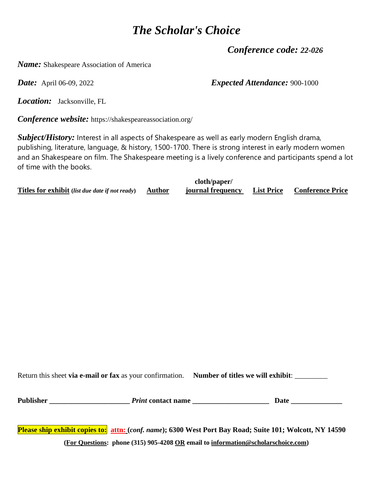*Conference code: 22-026* 

*Name:* Shakespeare Association of America

*Date:* April 06-09, 2022 *Expected Attendance:* 900-1000

*Location:* Jacksonville, FL

*Conference website:* https://shakespeareassociation.org/

*Subject/History:* Interest in all aspects of Shakespeare as well as early modern English drama, publishing, literature, language, & history, 1500-1700. There is strong interest in early modern women and an Shakespeare on film. The Shakespeare meeting is a lively conference and participants spend a lot of time with the books.

|                                                               | cloth/paper/      |                                    |
|---------------------------------------------------------------|-------------------|------------------------------------|
| <b>Titles for exhibit</b> (list due date if not ready) Author | journal frequency | <b>List Price Conference Price</b> |

Return this sheet **via e-mail or fax** as your confirmation. **Number of titles we will exhibit**: \_\_\_\_\_\_\_\_\_

**Publisher \_\_\_\_\_\_\_\_\_\_\_\_\_\_\_\_\_\_\_\_\_\_** *Print* **contact name \_\_\_\_\_\_\_\_\_\_\_\_\_\_\_\_\_\_\_\_\_ Date \_\_\_\_\_\_\_\_\_\_\_\_\_\_**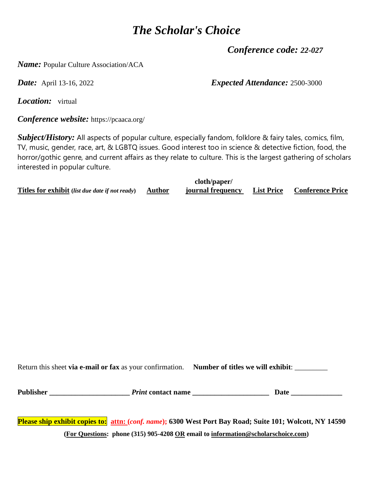*Conference code: 22-027* 

*Name:* Popular Culture Association/ACA

*Date:* April 13-16, 2022 *Expected Attendance:* 2500-3000

*Location:* virtual

*Conference website:* https://pcaaca.org/

*Subject/History:* All aspects of popular culture, especially fandom, folklore & fairy tales, comics, film, TV, music, gender, race, art, & LGBTQ issues. Good interest too in science & detective fiction, food, the horror/gothic genre, and current affairs as they relate to culture. This is the largest gathering of scholars interested in popular culture.

|                                                        |          | cloth/paper/      |                                    |
|--------------------------------------------------------|----------|-------------------|------------------------------------|
| <b>Titles for exhibit</b> (list due date if not ready) | , Author | journal frequency | <b>List Price Conference Price</b> |

Return this sheet **via e-mail or fax** as your confirmation. **Number of titles we will exhibit**: \_\_\_\_\_\_\_\_\_

**Publisher \_\_\_\_\_\_\_\_\_\_\_\_\_\_\_\_\_\_\_\_\_\_** *Print* **contact name \_\_\_\_\_\_\_\_\_\_\_\_\_\_\_\_\_\_\_\_\_ Date \_\_\_\_\_\_\_\_\_\_\_\_\_\_**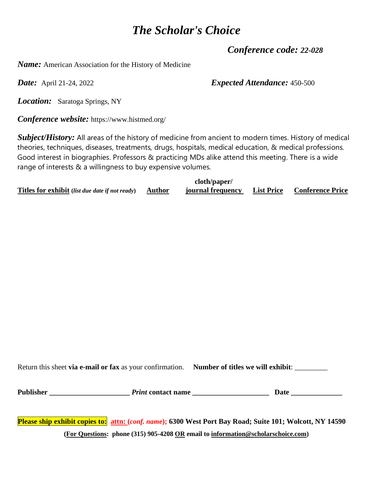*Conference code: 22-028* 

*Name:* American Association for the History of Medicine

*Date:* April 21-24, 2022 *Expected Attendance:* 450-500

*Location:* Saratoga Springs, NY

*Conference website:* https://www.histmed.org/

*Subject/History:* All areas of the history of medicine from ancient to modern times. History of medical theories, techniques, diseases, treatments, drugs, hospitals, medical education, & medical professions. Good interest in biographies. Professors & practicing MDs alike attend this meeting. There is a wide range of interests & a willingness to buy expensive volumes.

|                                                               | cloth/paper/      |                                    |
|---------------------------------------------------------------|-------------------|------------------------------------|
| <b>Titles for exhibit</b> (list due date if not ready) Author | journal frequency | <b>List Price Conference Price</b> |

Return this sheet **via e-mail or fax** as your confirmation. **Number of titles we will exhibit**: \_\_\_\_\_\_\_\_\_

**Publisher \_\_\_\_\_\_\_\_\_\_\_\_\_\_\_\_\_\_\_\_\_\_** *Print* **contact name \_\_\_\_\_\_\_\_\_\_\_\_\_\_\_\_\_\_\_\_\_ Date \_\_\_\_\_\_\_\_\_\_\_\_\_\_**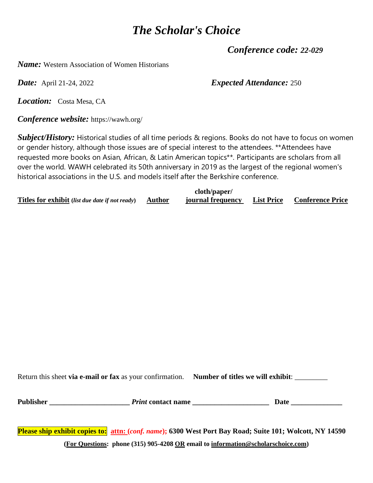*Conference code: 22-029* 

*Name:* Western Association of Women Historians

*Date:* April 21-24, 2022 *Expected Attendance:* 250

*Location:* Costa Mesa, CA

*Conference website:* https://wawh.org/

*Subject/History:* Historical studies of all time periods & regions. Books do not have to focus on women or gender history, although those issues are of special interest to the attendees. \*\*Attendees have requested more books on Asian, African, & Latin American topics\*\*. Participants are scholars from all over the world. WAWH celebrated its 50th anniversary in 2019 as the largest of the regional women's historical associations in the U.S. and models itself after the Berkshire conference.

|                                                        |        | cloth/paper/      |                                    |
|--------------------------------------------------------|--------|-------------------|------------------------------------|
| <b>Titles for exhibit</b> (list due date if not ready) | Author | journal frequency | <b>List Price</b> Conference Price |

Return this sheet **via e-mail or fax** as your confirmation. **Number of titles we will exhibit**: \_\_\_\_\_\_\_\_\_

**Publisher \_\_\_\_\_\_\_\_\_\_\_\_\_\_\_\_\_\_\_\_\_\_** *Print* **contact name \_\_\_\_\_\_\_\_\_\_\_\_\_\_\_\_\_\_\_\_\_ Date \_\_\_\_\_\_\_\_\_\_\_\_\_\_**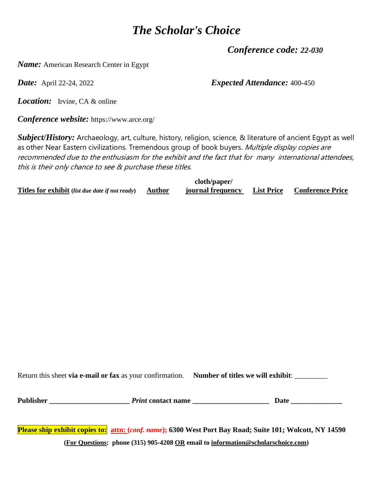*Conference code: 22-030* 

*Name:* American Research Center in Egypt

*Date:* April 22-24, 2022 *Expected Attendance:* 400-450

*Location:* Irvine, CA & online

*Conference website:* https://www.arce.org/

*Subject/History:* Archaeology, art, culture, history, religion, science, & literature of ancient Egypt as well as other Near Eastern civilizations. Tremendous group of book buyers. Multiple display copies are recommended due to the enthusiasm for the exhibit and the fact that for many international attendees, this is their only chance to see & purchase these titles.

|                                                               | cloth/paper/      |                                    |
|---------------------------------------------------------------|-------------------|------------------------------------|
| <b>Titles for exhibit</b> (list due date if not ready) Author | journal frequency | <b>List Price Conference Price</b> |

Return this sheet **via e-mail or fax** as your confirmation. **Number of titles we will exhibit**: \_\_\_\_\_\_\_\_\_

**Publisher \_\_\_\_\_\_\_\_\_\_\_\_\_\_\_\_\_\_\_\_\_\_** *Print* **contact name \_\_\_\_\_\_\_\_\_\_\_\_\_\_\_\_\_\_\_\_\_ Date \_\_\_\_\_\_\_\_\_\_\_\_\_\_**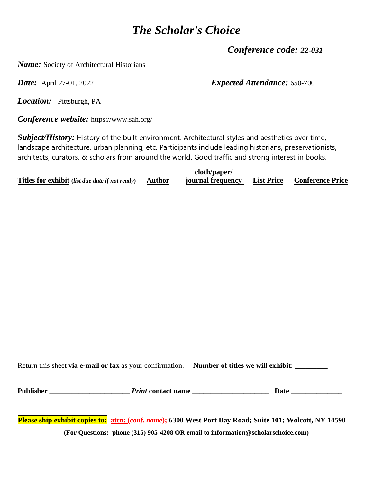*Conference code: 22-031* 

*Name:* Society of Architectural Historians

*Date:* April 27-01, 2022 *Expected Attendance:* 650-700

*Location:* Pittsburgh, PA

*Conference website:* https://www.sah.org/

*Subject/History:* History of the built environment. Architectural styles and aesthetics over time, landscape architecture, urban planning, etc. Participants include leading historians, preservationists, architects, curators, & scholars from around the world. Good traffic and strong interest in books.

|                                                        |        | cloth/paper/      |                                    |
|--------------------------------------------------------|--------|-------------------|------------------------------------|
| <b>Titles for exhibit</b> (list due date if not ready) | Author | journal frequency | <b>List Price Conference Price</b> |

Return this sheet **via e-mail or fax** as your confirmation. **Number of titles we will exhibit**: \_\_\_\_\_\_\_\_\_

**Publisher \_\_\_\_\_\_\_\_\_\_\_\_\_\_\_\_\_\_\_\_\_\_** *Print* **contact name \_\_\_\_\_\_\_\_\_\_\_\_\_\_\_\_\_\_\_\_\_ Date \_\_\_\_\_\_\_\_\_\_\_\_\_\_**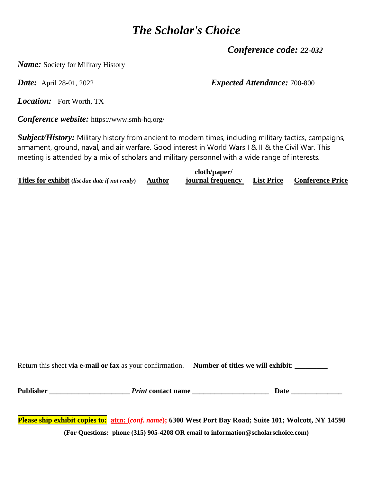*Conference code: 22-032* 

*Name:* Society for Military History

*Date:* April 28-01, 2022 *Expected Attendance:* 700-800

*Location:* Fort Worth, TX

*Conference website:* https://www.smh-hq.org/

*Subject/History:* Military history from ancient to modern times, including military tactics, campaigns, armament, ground, naval, and air warfare. Good interest in World Wars I & II & the Civil War. This meeting is attended by a mix of scholars and military personnel with a wide range of interests.

|                                                        | cloth/paper/      |                                    |
|--------------------------------------------------------|-------------------|------------------------------------|
| Titles for exhibit (list due date if not ready) Author | journal frequency | <b>List Price Conference Price</b> |

Return this sheet **via e-mail or fax** as your confirmation. **Number of titles we will exhibit**: \_\_\_\_\_\_\_\_\_

**Publisher \_\_\_\_\_\_\_\_\_\_\_\_\_\_\_\_\_\_\_\_\_\_** *Print* **contact name \_\_\_\_\_\_\_\_\_\_\_\_\_\_\_\_\_\_\_\_\_ Date \_\_\_\_\_\_\_\_\_\_\_\_\_\_**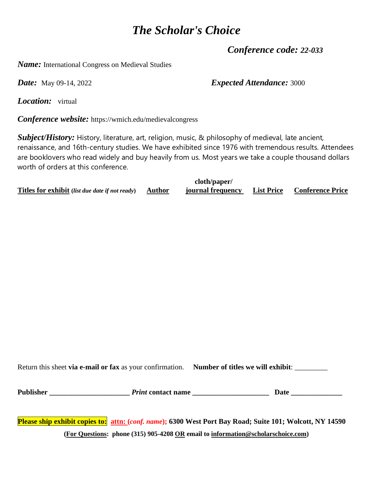*Conference code: 22-033* 

*Name:* International Congress on Medieval Studies

*Date:* May 09-14, 2022 *Expected Attendance:* 3000

*Location:* virtual

*Conference website:* https://wmich.edu/medievalcongress

*Subject/History:* History, literature, art, religion, music, & philosophy of medieval, late ancient, renaissance, and 16th-century studies. We have exhibited since 1976 with tremendous results. Attendees are booklovers who read widely and buy heavily from us. Most years we take a couple thousand dollars worth of orders at this conference.

|                                                        |               | cloth/paper/      |                                    |
|--------------------------------------------------------|---------------|-------------------|------------------------------------|
| <b>Titles for exhibit</b> (list due date if not ready) | <b>Author</b> | journal frequency | <b>List Price Conference Price</b> |

Return this sheet **via e-mail or fax** as your confirmation. **Number of titles we will exhibit**: \_\_\_\_\_\_\_\_\_

**Publisher \_\_\_\_\_\_\_\_\_\_\_\_\_\_\_\_\_\_\_\_\_\_** *Print* **contact name \_\_\_\_\_\_\_\_\_\_\_\_\_\_\_\_\_\_\_\_\_ Date \_\_\_\_\_\_\_\_\_\_\_\_\_\_**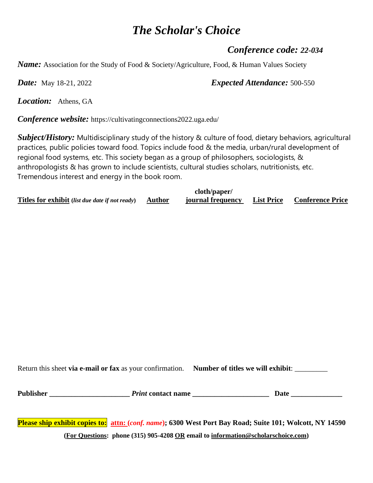#### *Conference code: 22-034*

*Name:* Association for the Study of Food & Society/Agriculture, Food, & Human Values Society

*Date:* May 18-21, 2022 *Expected Attendance:* 500-550

*Location:* Athens, GA

*Conference website:* https://cultivatingconnections2022.uga.edu/

*Subject/History:* Multidisciplinary study of the history & culture of food, dietary behaviors, agricultural practices, public policies toward food. Topics include food & the media, urban/rural development of regional food systems, etc. This society began as a group of philosophers, sociologists, & anthropologists & has grown to include scientists, cultural studies scholars, nutritionists, etc. Tremendous interest and energy in the book room.

|                                                        |        | cloth/paper/      |                   |                         |
|--------------------------------------------------------|--------|-------------------|-------------------|-------------------------|
| <b>Titles for exhibit</b> (list due date if not ready) | Author | journal frequency | <b>List Price</b> | <b>Conference Price</b> |

Return this sheet **via e-mail or fax** as your confirmation. **Number of titles we will exhibit**: \_\_\_\_\_\_\_\_\_

**Publisher \_\_\_\_\_\_\_\_\_\_\_\_\_\_\_\_\_\_\_\_\_\_** *Print* **contact name \_\_\_\_\_\_\_\_\_\_\_\_\_\_\_\_\_\_\_\_\_ Date \_\_\_\_\_\_\_\_\_\_\_\_\_\_**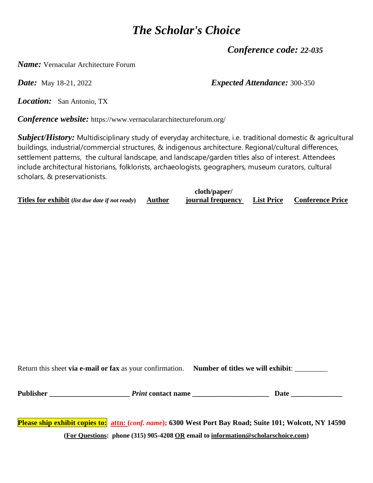*Conference code: 22-035* 

*Name:* Vernacular Architecture Forum

*Date:* May 18-21, 2022 *Expected Attendance:* 300-350

*Location:* San Antonio, TX

*Conference website:* https://www.vernaculararchitectureforum.org/

*Subject/History:* Multidisciplinary study of everyday architecture, i.e. traditional domestic & agricultural buildings, industrial/commercial structures, & indigenous architecture. Regional/cultural differences, settlement patterns, the cultural landscape, and landscape/garden titles also of interest. Attendees include architectural historians, folklorists, archaeologists, geographers, museum curators, cultural scholars, & preservationists.

|                                                        |        | cloth/paper/      |                   |                         |
|--------------------------------------------------------|--------|-------------------|-------------------|-------------------------|
| <b>Titles for exhibit</b> (list due date if not ready) | Author | journal frequency | <b>List Price</b> | <b>Conference Price</b> |

Return this sheet **via e-mail or fax** as your confirmation. **Number of titles we will exhibit**: \_\_\_\_\_\_\_\_\_

**Publisher \_\_\_\_\_\_\_\_\_\_\_\_\_\_\_\_\_\_\_\_\_\_** *Print* **contact name \_\_\_\_\_\_\_\_\_\_\_\_\_\_\_\_\_\_\_\_\_ Date \_\_\_\_\_\_\_\_\_\_\_\_\_\_**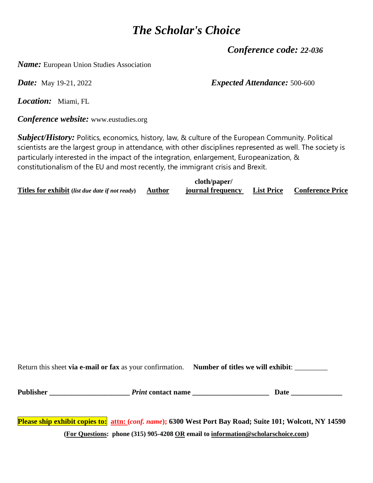*Conference code: 22-036* 

*Name:* European Union Studies Association

*Date:* May 19-21, 2022 *Expected Attendance:* 500-600

*Location:* Miami, FL

*Conference website:* www.eustudies.org

*Subject/History:* Politics, economics, history, law, & culture of the European Community. Political scientists are the largest group in attendance, with other disciplines represented as well. The society is particularly interested in the impact of the integration, enlargement, Europeanization, & constitutionalism of the EU and most recently, the immigrant crisis and Brexit.

|                                                               | cloth/paper/      |                                    |
|---------------------------------------------------------------|-------------------|------------------------------------|
| <b>Titles for exhibit</b> (list due date if not ready) Author | journal frequency | <b>List Price Conference Price</b> |

Return this sheet **via e-mail or fax** as your confirmation. **Number of titles we will exhibit**: \_\_\_\_\_\_\_\_\_

**Publisher \_\_\_\_\_\_\_\_\_\_\_\_\_\_\_\_\_\_\_\_\_\_** *Print* **contact name \_\_\_\_\_\_\_\_\_\_\_\_\_\_\_\_\_\_\_\_\_ Date \_\_\_\_\_\_\_\_\_\_\_\_\_\_**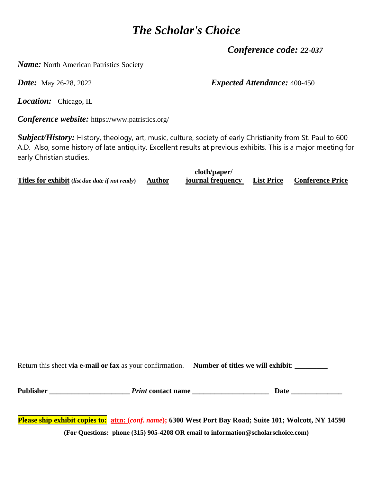*Conference code: 22-037* 

*Name:* North American Patristics Society

**Date:** May 26-28, 2022 *Expected Attendance:* **400-450** 

*Location:* Chicago, IL

*Conference website:* https://www.patristics.org/

*Subject/History:* History, theology, art, music, culture, society of early Christianity from St. Paul to 600 A.D. Also, some history of late antiquity. Excellent results at previous exhibits. This is a major meeting for early Christian studies.

|                                                        | cloth/paper/      |                                    |
|--------------------------------------------------------|-------------------|------------------------------------|
| Titles for exhibit (list due date if not ready) Author | journal frequency | <b>List Price Conference Price</b> |

Return this sheet **via e-mail or fax** as your confirmation. **Number of titles we will exhibit**: \_\_\_\_\_\_\_\_\_

**Publisher \_\_\_\_\_\_\_\_\_\_\_\_\_\_\_\_\_\_\_\_\_\_** *Print* **contact name \_\_\_\_\_\_\_\_\_\_\_\_\_\_\_\_\_\_\_\_\_ Date \_\_\_\_\_\_\_\_\_\_\_\_\_\_**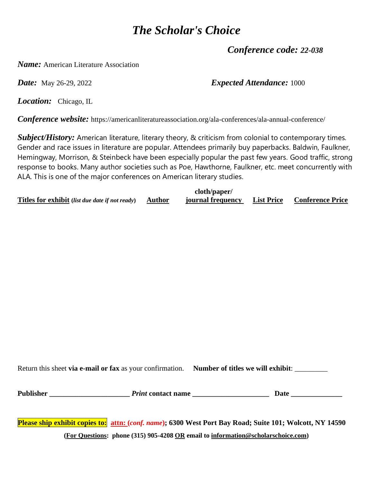*Conference code: 22-038* 

*Name:* American Literature Association

*Date:* May 26-29, 2022 *Expected Attendance:* 1000

*Location:* Chicago, IL

*Conference website:* https://americanliteratureassociation.org/ala-conferences/ala-annual-conference/

*Subject/History:* American literature, literary theory, & criticism from colonial to contemporary times. Gender and race issues in literature are popular. Attendees primarily buy paperbacks. Baldwin, Faulkner, Hemingway, Morrison, & Steinbeck have been especially popular the past few years. Good traffic, strong response to books. Many author societies such as Poe, Hawthorne, Faulkner, etc. meet concurrently with ALA. This is one of the major conferences on American literary studies.

|                                                        |        | cloth/paper/      |                                    |
|--------------------------------------------------------|--------|-------------------|------------------------------------|
| <b>Titles for exhibit</b> (list due date if not ready) | Author | journal frequency | <b>List Price Conference Price</b> |

Return this sheet **via e-mail or fax** as your confirmation. **Number of titles we will exhibit**: \_\_\_\_\_\_\_\_\_

**Publisher \_\_\_\_\_\_\_\_\_\_\_\_\_\_\_\_\_\_\_\_\_\_** *Print* **contact name \_\_\_\_\_\_\_\_\_\_\_\_\_\_\_\_\_\_\_\_\_ Date \_\_\_\_\_\_\_\_\_\_\_\_\_\_**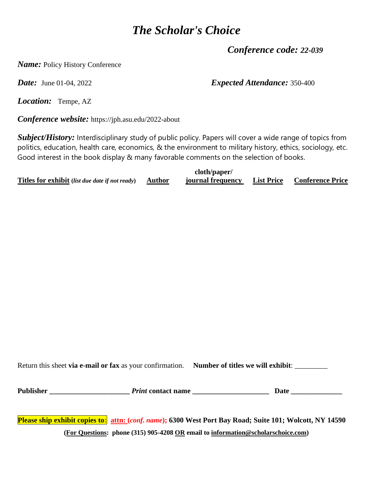*Conference code: 22-039* 

*Name:* Policy History Conference

*Date:* June 01-04, 2022 *Expected Attendance:* 350-400

*Location:* Tempe, AZ

*Conference website:* https://jph.asu.edu/2022-about

*Subject/History:* Interdisciplinary study of public policy. Papers will cover a wide range of topics from politics, education, health care, economics, & the environment to military history, ethics, sociology, etc. Good interest in the book display & many favorable comments on the selection of books.

|                                                        | cloth/paper/      |                                    |
|--------------------------------------------------------|-------------------|------------------------------------|
| Titles for exhibit (list due date if not ready) Author | journal frequency | <b>List Price Conference Price</b> |

Return this sheet **via e-mail or fax** as your confirmation. **Number of titles we will exhibit**: \_\_\_\_\_\_\_\_\_

**Publisher \_\_\_\_\_\_\_\_\_\_\_\_\_\_\_\_\_\_\_\_\_\_** *Print* **contact name \_\_\_\_\_\_\_\_\_\_\_\_\_\_\_\_\_\_\_\_\_ Date \_\_\_\_\_\_\_\_\_\_\_\_\_\_**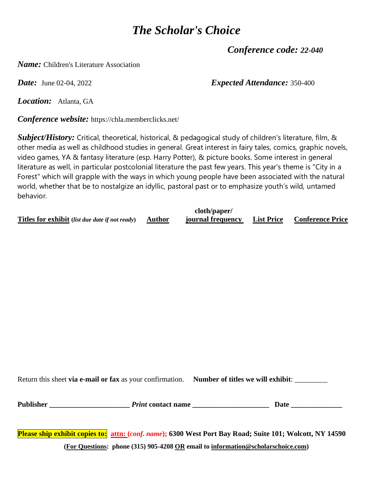*Conference code: 22-040* 

*Name:* Children's Literature Association

*Date:* June 02-04, 2022 *Expected Attendance:* 350-400

*Location:* Atlanta, GA

*Conference website:* https://chla.memberclicks.net/

*Subject/History:* Critical, theoretical, historical, & pedagogical study of children's literature, film, & other media as well as childhood studies in general. Great interest in fairy tales, comics, graphic novels, video games, YA & fantasy literature (esp. Harry Potter), & picture books. Some interest in general literature as well, in particular postcolonial literature the past few years. This year's theme is "City in a Forest" which will grapple with the ways in which young people have been associated with the natural world, whether that be to nostalgize an idyllic, pastoral past or to emphasize youth's wild, untamed behavior.

**Titles for exhibit (***list due date if not ready***) Author journal frequency List Price Conference Price**

**cloth/paper/**

Return this sheet **via e-mail or fax** as your confirmation. **Number of titles we will exhibit**: \_\_\_\_\_\_\_\_\_

| Publisher | <i>Print</i> contact name |  |
|-----------|---------------------------|--|
|           |                           |  |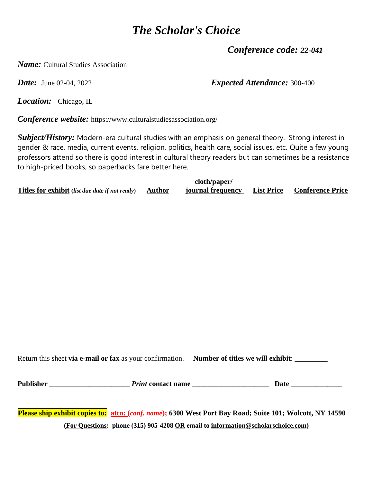*Conference code: 22-041* 

*Name:* Cultural Studies Association

*Date:* June 02-04, 2022 *Expected Attendance:* 300-400

*Location:* Chicago, IL

*Conference website:* https://www.culturalstudiesassociation.org/

*Subject/History:* Modern-era cultural studies with an emphasis on general theory. Strong interest in gender & race, media, current events, religion, politics, health care, social issues, etc. Quite a few young professors attend so there is good interest in cultural theory readers but can sometimes be a resistance to high-priced books, so paperbacks fare better here.

|                                                                      | cloth/paper/      |                                    |
|----------------------------------------------------------------------|-------------------|------------------------------------|
| <b>Titles for exhibit</b> (list due date if not ready) <b>Author</b> | journal frequency | <b>List Price Conference Price</b> |

Return this sheet **via e-mail or fax** as your confirmation. **Number of titles we will exhibit**: \_\_\_\_\_\_\_\_\_

**Publisher \_\_\_\_\_\_\_\_\_\_\_\_\_\_\_\_\_\_\_\_\_\_** *Print* **contact name \_\_\_\_\_\_\_\_\_\_\_\_\_\_\_\_\_\_\_\_\_ Date \_\_\_\_\_\_\_\_\_\_\_\_\_\_**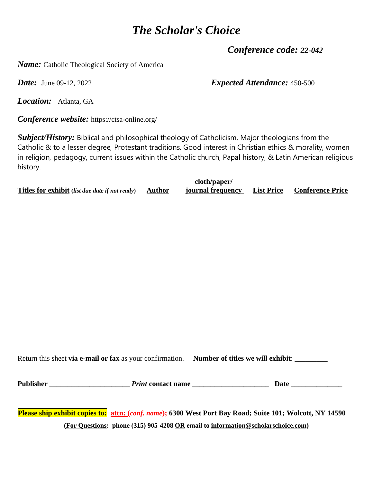*Conference code: 22-042* 

*Name:* Catholic Theological Society of America

**Date:** June 09-12, 2022 *Expected Attendance:* 450-500

*Location:* Atlanta, GA

*Conference website:* https://ctsa-online.org/

*Subject/History:* Biblical and philosophical theology of Catholicism. Major theologians from the Catholic & to a lesser degree, Protestant traditions. Good interest in Christian ethics & morality, women in religion, pedagogy, current issues within the Catholic church, Papal history, & Latin American religious history.

|                                                        |          | cloth/paper/      |                                    |
|--------------------------------------------------------|----------|-------------------|------------------------------------|
| <b>Titles for exhibit</b> (list due date if not ready) | , Author | journal frequency | <b>List Price Conference Price</b> |

Return this sheet **via e-mail or fax** as your confirmation. **Number of titles we will exhibit**: \_\_\_\_\_\_\_\_\_

**Publisher \_\_\_\_\_\_\_\_\_\_\_\_\_\_\_\_\_\_\_\_\_\_** *Print* **contact name \_\_\_\_\_\_\_\_\_\_\_\_\_\_\_\_\_\_\_\_\_ Date \_\_\_\_\_\_\_\_\_\_\_\_\_\_**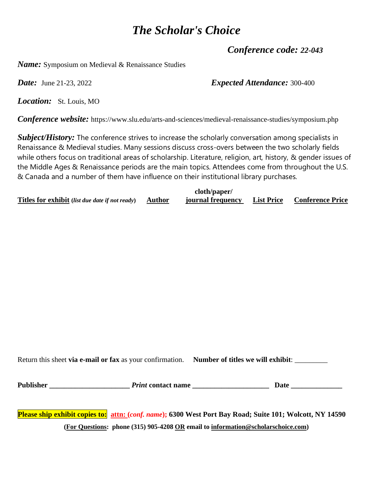*Conference code: 22-043* 

*Name:* Symposium on Medieval & Renaissance Studies

*Date:* June 21-23, 2022 *Expected Attendance:* 300-400

*Location:* St. Louis, MO

*Conference website:* https://www.slu.edu/arts-and-sciences/medieval-renaissance-studies/symposium.php

*Subject/History:* The conference strives to increase the scholarly conversation among specialists in Renaissance & Medieval studies. Many sessions discuss cross-overs between the two scholarly fields while others focus on traditional areas of scholarship. Literature, religion, art, history, & gender issues of the Middle Ages & Renaissance periods are the main topics. Attendees come from throughout the U.S. & Canada and a number of them have influence on their institutional library purchases.

|                                                               | cloth/paper/      |                                    |
|---------------------------------------------------------------|-------------------|------------------------------------|
| <b>Titles for exhibit</b> (list due date if not ready) Author | journal frequency | <b>List Price Conference Price</b> |

Return this sheet **via e-mail or fax** as your confirmation. **Number of titles we will exhibit**: \_\_\_\_\_\_\_\_\_

**Publisher \_\_\_\_\_\_\_\_\_\_\_\_\_\_\_\_\_\_\_\_\_\_** *Print* **contact name \_\_\_\_\_\_\_\_\_\_\_\_\_\_\_\_\_\_\_\_\_ Date \_\_\_\_\_\_\_\_\_\_\_\_\_\_**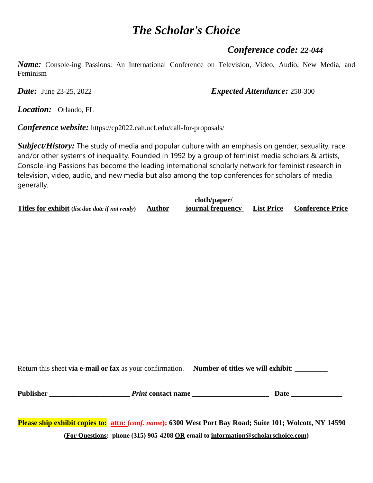#### *Conference code: 22-044*

*Name:* Console-ing Passions: An International Conference on Television, Video, Audio, New Media, and Feminism

*Date:* June 23-25, 2022 *Expected Attendance:* 250-300

*Location:* Orlando, FL

*Conference website:* https://cp2022.cah.ucf.edu/call-for-proposals/

*Subject/History:* The study of media and popular culture with an emphasis on gender, sexuality, race, and/or other systems of inequality. Founded in 1992 by a group of feminist media scholars & artists, Console-ing Passions has become the leading international scholarly network for feminist research in television, video, audio, and new media but also among the top conferences for scholars of media generally.

|                                                        |        | cloth/paper/      |                   |                         |
|--------------------------------------------------------|--------|-------------------|-------------------|-------------------------|
| <b>Titles for exhibit</b> (list due date if not ready) | Author | journal frequency | <b>List Price</b> | <b>Conference Price</b> |

Return this sheet **via e-mail or fax** as your confirmation. **Number of titles we will exhibit**: \_\_\_\_\_\_\_\_\_

**Publisher \_\_\_\_\_\_\_\_\_\_\_\_\_\_\_\_\_\_\_\_\_\_** *Print* **contact name \_\_\_\_\_\_\_\_\_\_\_\_\_\_\_\_\_\_\_\_\_ Date \_\_\_\_\_\_\_\_\_\_\_\_\_\_**